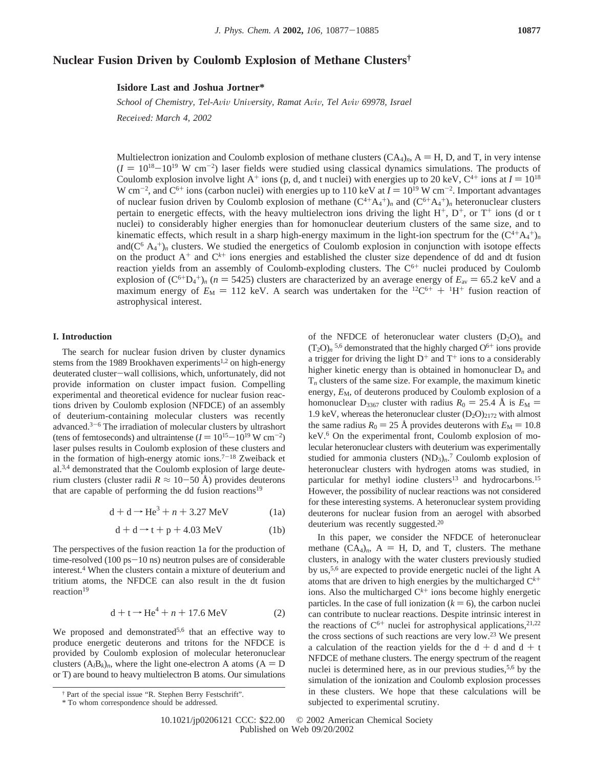# **Nuclear Fusion Driven by Coulomb Explosion of Methane Clusters†**

**Isidore Last and Joshua Jortner\***

*School of Chemistry, Tel-Aviv University, Ramat Aviv, Tel Aviv 69978, Israel* 

*Recei*V*ed: March 4, 2002*

Multielectron ionization and Coulomb explosion of methane clusters  $(CA_4)_n$ ,  $A = H$ , D, and T, in very intense  $(I = 10^{18} - 10^{19} \text{ W cm}^{-2})$  laser fields were studied using classical dynamics simulations. The products of Coulomb explosion involve light  $A^+$  ions (p d and t nuclei) with energies up to 20 keV  $C^{4+}$  ions at  $I = 10^{$ Coulomb explosion involve light A<sup>+</sup> ions (p, d, and t nuclei) with energies up to 20 keV,  $C^{4+}$  ions at  $I = 10^{18}$ W cm<sup>-2</sup>, and C<sup>6+</sup> ions (carbon nuclei) with energies up to 110 keV at  $I = 10^{19}$  W cm<sup>-2</sup>. Important advantages of nuclear fusion driven by Coulomb explosion of methane  $(C^{4+}A,+)$  and  $(C^{6+}A,+)$  beteroughear clusters of nuclear fusion driven by Coulomb explosion of methane  $(C^{4+}A_4^+)_n$  and  $(C^{6+}A_4^+)_n$  heteronuclear clusters pertain to energetic effects, with the heavy multielectron ions driving the light  $H^+$ ,  $D^+$ , or  $T^+$  ions (d or t nuclei) to considerably higher energies than for homonuclear deuterium clusters of the same size, and to kinematic effects, which result in a sharp high-energy maximum in the light-ion spectrum for the  $(C^{4+}A_4^+)_n$ and( $C^6$   $A_4^+$ )<sub>n</sub> clusters. We studied the energetics of Coulomb explosion in conjunction with isotope effects on the product  $A^+$  and  $C^{k+}$  ions energies and established the cluster size dependence of dd and dt fusion reaction yields from an assembly of Coulomb-exploding clusters. The  $C<sup>6+</sup>$  nuclei produced by Coulomb explosion of  $(C^{6+}D_4^+)_n$  ( $n = 5425$ ) clusters are characterized by an average energy of  $E_{av} = 65.2$  keV and a maximum energy of  $F_{cd} = 112$  keV. A search was undertaken for the <sup>12</sup>C<sup>6+</sup> + <sup>1</sup>H<sup>+</sup> fusion reaction of maximum energy of  $E_M = 112$  keV. A search was undertaken for the <sup>12</sup>C<sup>6+</sup> + <sup>1</sup>H<sup>+</sup> fusion reaction of astrophysical interest astrophysical interest.

### **I. Introduction**

The search for nuclear fusion driven by cluster dynamics stems from the 1989 Brookhaven experiments<sup>1,2</sup> on high-energy deuterated cluster-wall collisions, which, unfortunately, did not provide information on cluster impact fusion. Compelling experimental and theoretical evidence for nuclear fusion reactions driven by Coulomb explosion (NFDCE) of an assembly of deuterium-containing molecular clusters was recently advanced.3-<sup>6</sup> The irradiation of molecular clusters by ultrashort (tens of femtoseconds) and ultraintense  $(I = 10^{15} - 10^{19} \,\mathrm{W \, cm^{-2}})$ laser pulses results in Coulomb explosion of these clusters and in the formation of high-energy atomic ions.<sup>7-18</sup> Zweiback et al.3,4 demonstrated that the Coulomb explosion of large deuterium clusters (cluster radii  $R \approx 10-50$  Å) provides deuterons that are capable of performing the dd fusion reactions<sup>19</sup>

$$
d + d \rightarrow He3 + n + 3.27 MeV
$$
 (1a)

$$
d + d \rightarrow t + p + 4.03 \text{ MeV} \tag{1b}
$$

The perspectives of the fusion reaction 1a for the production of time-resolved (100 ps-10 ns) neutron pulses are of considerable interest.4 When the clusters contain a mixture of deuterium and tritium atoms, the NFDCE can also result in the dt fusion reaction<sup>19</sup>

$$
d + t \rightarrow He^4 + n + 17.6 \text{ MeV}
$$
 (2)

We proposed and demonstrated<sup>5,6</sup> that an effective way to produce energetic deuterons and tritons for the NFDCE is provided by Coulomb explosion of molecular heteronuclear clusters  $(A<sub>l</sub>B<sub>k</sub>)<sub>n</sub>$ , where the light one-electron A atoms (A = D or T) are bound to heavy multielectron B atoms. Our simulations

of the NFDCE of heteronuclear water clusters  $(D_2O)_n$  and  $(T_2O)_n$ <sup>5,6</sup> demonstrated that the highly charged  $O^{6+}$  ions provide a trigger for driving the light  $D^+$  and  $T^+$  ions to a considerably higher kinetic energy than is obtained in homonuclear D*<sup>n</sup>* and T*<sup>n</sup>* clusters of the same size. For example, the maximum kinetic energy,  $E_M$ , of deuterons produced by Coulomb explosion of a homonuclear  $D_{3367}$  cluster with radius  $R_0 = 25.4$  Å is  $E_M =$ 1.9 keV, whereas the heteronuclear cluster  $(D_2O)_{2172}$  with almost the same radius  $R_0 = 25$  Å provides deuterons with  $E_M = 10.8$ keV.6 On the experimental front, Coulomb explosion of molecular heteronuclear clusters with deuterium was experimentally studied for ammonia clusters  $(ND_3)<sub>n</sub>$ <sup>7</sup> Coulomb explosion of heteronuclear clusters with hydrogen atoms was studied, in particular for methyl iodine clusters<sup>13</sup> and hydrocarbons.<sup>15</sup> However, the possibility of nuclear reactions was not considered for these interesting systems. A heteronuclear system providing deuterons for nuclear fusion from an aerogel with absorbed deuterium was recently suggested.20

In this paper, we consider the NFDCE of heteronuclear methane  $(CA_4)_n$ ,  $A = H$ , D, and T, clusters. The methane clusters, in analogy with the water clusters previously studied by us,5,6 are expected to provide energetic nuclei of the light A atoms that are driven to high energies by the multicharged  $C^{k+}$ ions. Also the multicharged  $C^{k+}$  ions become highly energetic particles. In the case of full ionization  $(k = 6)$ , the carbon nuclei can contribute to nuclear reactions. Despite intrinsic interest in the reactions of  $C^{6+}$  nuclei for astrophysical applications,  $2^{1,22}$ the cross sections of such reactions are very low.23 We present a calculation of the reaction yields for the  $d + d$  and  $d + t$ NFDCE of methane clusters. The energy spectrum of the reagent nuclei is determined here, as in our previous studies,  $5.6$  by the simulation of the ionization and Coulomb explosion processes in these clusters. We hope that these calculations will be subjected to experimental scrutiny.

<sup>†</sup> Part of the special issue "R. Stephen Berry Festschrift".

<sup>\*</sup> To whom correspondence should be addressed.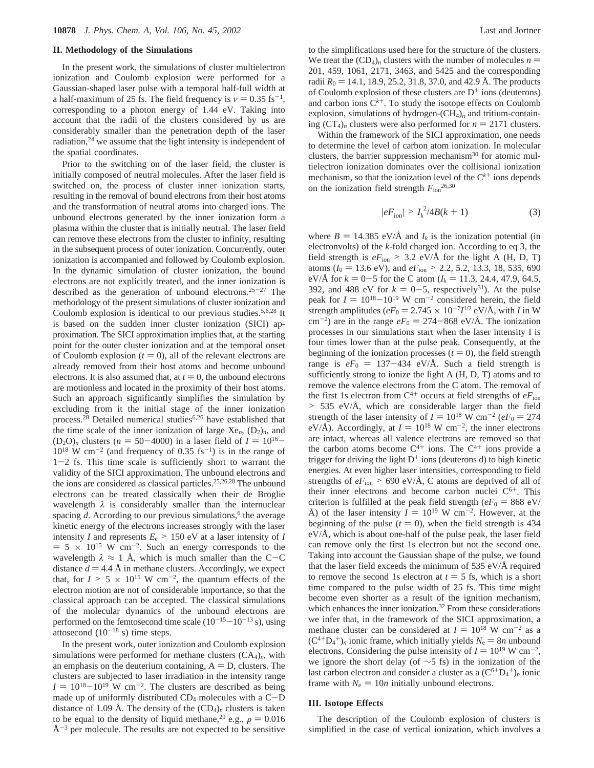#### **II. Methodology of the Simulations**

In the present work, the simulations of cluster multielectron ionization and Coulomb explosion were performed for a Gaussian-shaped laser pulse with a temporal half-full width at a half-maximum of 25 fs. The field frequency is  $\nu = 0.35$  fs<sup>-1</sup>, corresponding to a photon energy of 1.44 eV. Taking into account that the radii of the clusters considered by us are considerably smaller than the penetration depth of the laser radiation, $24$  we assume that the light intensity is independent of the spatial coordinates.

Prior to the switching on of the laser field, the cluster is initially composed of neutral molecules. After the laser field is switched on, the process of cluster inner ionization starts, resulting in the removal of bound electrons from their host atoms and the transformation of neutral atoms into charged ions. The unbound electrons generated by the inner ionization form a plasma within the cluster that is initially neutral. The laser field can remove these electrons from the cluster to infinity, resulting in the subsequent process of outer ionization. Concurrently, outer ionization is accompanied and followed by Coulomb explosion. In the dynamic simulation of cluster ionization, the bound electrons are not explicitly treated, and the inner ionization is described as the generation of unbound electrons.<sup>25-27</sup> The methodology of the present simulations of cluster ionization and Coulomb explosion is identical to our previous studies.5,6,28 It is based on the sudden inner cluster ionization (SICI) approximation. The SICI approximation implies that, at the starting point for the outer cluster ionization and at the temporal onset of Coulomb explosion  $(t = 0)$ , all of the relevant electrons are already removed from their host atoms and become unbound electrons. It is also assumed that, at  $t = 0$ , the unbound electrons are motionless and located in the proximity of their host atoms. Such an approach significantly simplifies the simulation by excluding from it the initial stage of the inner ionization process.28 Detailed numerical studies6,26 have established that the time scale of the inner ionization of large  $Xe_n$ ,  $(D_2)_n$ , and  $(D_2O)_n$  clusters ( $n = 50-4000$ ) in a laser field of  $I = 10^{16} 10^{18}$  W cm<sup>-2</sup> (and frequency of 0.35 fs<sup>-1</sup>) is in the range of <sup>1</sup>-2 fs. This time scale is sufficiently short to warrant the validity of the SICI approximation. The unbound electrons and the ions are considered as classical particles.25,26,28 The unbound electrons can be treated classically when their de Broglie wavelength  $\lambda$  is considerably smaller than the internuclear spacing  $d$ . According to our previous simulations,<sup>6</sup> the average kinetic energy of the electrons increases strongly with the laser intensity *I* and represents  $E_e$  > 150 eV at a laser intensity of *I*  $= 5 \times 10^{15}$  W cm<sup>-2</sup>. Such an energy corresponds to the wavelength  $\lambda \approx 1$  Å, which is much smaller than the C-C distance  $d = 4.4$  Å in methane clusters. Accordingly, we expect that, for  $I > 5 \times 10^{15}$  W cm<sup>-2</sup>, the quantum effects of the electron motion are not of considerable importance, so that the classical approach can be accepted. The classical simulations of the molecular dynamics of the unbound electrons are performed on the femtosecond time scale  $(10^{-15}-10^{-13} s)$ , using attosecond  $(10^{-18} \text{ s})$  time steps.

In the present work, outer ionization and Coulomb explosion simulations were performed for methane clusters (CA4)*n*, with an emphasis on the deuterium containing,  $A = D$ , clusters. The clusters are subjected to laser irradiation in the intensity range  $I = 10^{18}-10^{19}$  W cm<sup>-2</sup>. The clusters are described as being made up of uniformly distributed  $CD_4$  molecules with a  $C-D$ distance of 1.09 Å. The density of the  $(CD_4)_n$  clusters is taken to be equal to the density of liquid methane,<sup>29</sup> e.g.,  $\rho = 0.016$  $\AA^{-3}$  per molecule. The results are not expected to be sensitive

to the simplifications used here for the structure of the clusters. We treat the  $(CD_4)$ <sub>n</sub> clusters with the number of molecules  $n =$ 201, 459, 1061, 2171, 3463, and 5425 and the corresponding radii  $R_0 = 14.1, 18.9, 25.2, 31.8, 37.0,$  and 42.9 Å. The products of Coulomb explosion of these clusters are  $D^+$  ions (deuterons) and carbon ions  $C^{k+}$ . To study the isotope effects on Coulomb explosion, simulations of hydrogen-(CH4)*<sup>n</sup>* and tritium-containing  $(CT_4)_n$  clusters were also performed for  $n = 2171$  clusters.

Within the framework of the SICI approximation, one needs to determine the level of carbon atom ionization. In molecular clusters, the barrier suppression mechanism $30$  for atomic multielectron ionization dominates over the collisional ionization mechanism, so that the ionization level of the  $C<sup>k+</sup>$  ions depends on the ionization field strength  $F_{\text{ion}}^{26,30}$ 

$$
|eF_{\text{ion}}| > I_k^2/4B(k+1)
$$
 (3)

where  $B = 14.385 \text{ eV/A}$  and  $I_k$  is the ionization potential (in electronvolts) of the *k*-fold charged ion. According to eq 3, the field strength is  $eF_{\text{ion}} > 3.2$  eV/Å for the light A (H, D, T) atoms ( $I_0 = 13.6$  eV), and  $eF_{\text{ion}} > 2.2, 5.2, 13.3, 18, 535, 690$ eV/ $\AA$  for  $k = 0-5$  for the C atom ( $I_k = 11.3, 24.4, 47.9, 64.5$ , 392, and 488 eV for  $k = 0-5$ , respectively<sup>31</sup>). At the pulse peak for  $I = 10^{18}-10^{19}$  W cm<sup>-2</sup> considered herein, the field strength amplitudes ( $eF_0 = 2.745 \times 10^{-7} I^{1/2}$  eV/Å, with *I* in W cm<sup>-2</sup>) are in the range  $eF_0 = 274-868 \text{ eV/A}$ . The ionization processes in our simulations start when the laser intensity I is four times lower than at the pulse peak. Consequently, at the beginning of the ionization processes  $(t = 0)$ , the field strength range is  $eF_0 = 137-434$  eV/Å. Such a field strength is sufficiently strong to ionize the light A (H, D, T) atoms and to remove the valence electrons from the C atom. The removal of the first 1s electron from  $C^{4+}$  occurs at field strengths of  $eF_{\text{ion}}$ > 535 eV/Å, which are considerable larger than the field strength of the laser intensity of  $I = 10^{18}$  W cm<sup>-2</sup> ( $eF_0 = 274$ ) eV/Å). Accordingly, at  $I = 10^{18}$  W cm<sup>-2</sup>, the inner electrons are intact, whereas all valence electrons are removed so that the carbon atoms become  $C^{4+}$  ions. The  $C^{4+}$  ions provide a trigger for driving the light  $D^+$  ions (deuterons d) to high kinetic energies. At even higher laser intensities, corresponding to field strengths of  $eF_{\text{ion}} > 690 \text{ eV/A}$ , C atoms are deprived of all of their inner electrons and become carbon nuclei  $C^{6+}$ . This criterion is fulfilled at the peak field strength ( $eF_0 = 868 \text{ eV}$ ) Å) of the laser intensity  $I = 10^{19}$  W cm<sup>-2</sup>. However, at the beginning of the pulse  $(t = 0)$ , when the field strength is 434  $eV/\text{\AA}$ , which is about one-half of the pulse peak, the laser field can remove only the first 1s electron but not the second one. Taking into account the Gaussian shape of the pulse, we found that the laser field exceeds the minimum of 535 eV/Å required to remove the second 1s electron at  $t = 5$  fs, which is a short time compared to the pulse width of 25 fs. This time might become even shorter as a result of the ignition mechanism, which enhances the inner ionization.<sup>32</sup> From these considerations we infer that, in the framework of the SICI approximation, a methane cluster can be considered at  $I = 10^{18}$  W cm<sup>-2</sup> as a  $(C^{4+}D_4^+)$ <sub>n</sub> ionic frame, which initially yields  $N_e = 8n$  unbound<br>electrons. Considering the pulse intensity of  $I = 10^{19}$  W cm<sup>-2</sup> electrons. Considering the pulse intensity of  $I = 10^{19}$  W cm<sup>-2</sup>, we ignore the short delay (of ∼5 fs) in the ionization of the last carbon electron and consider a cluster as a  $(C^{6+}D_4^+)_n$  ionic frame with  $N_e = 10n$  initially unbound electrons.

## **III. Isotope Effects**

The description of the Coulomb explosion of clusters is simplified in the case of vertical ionization, which involves a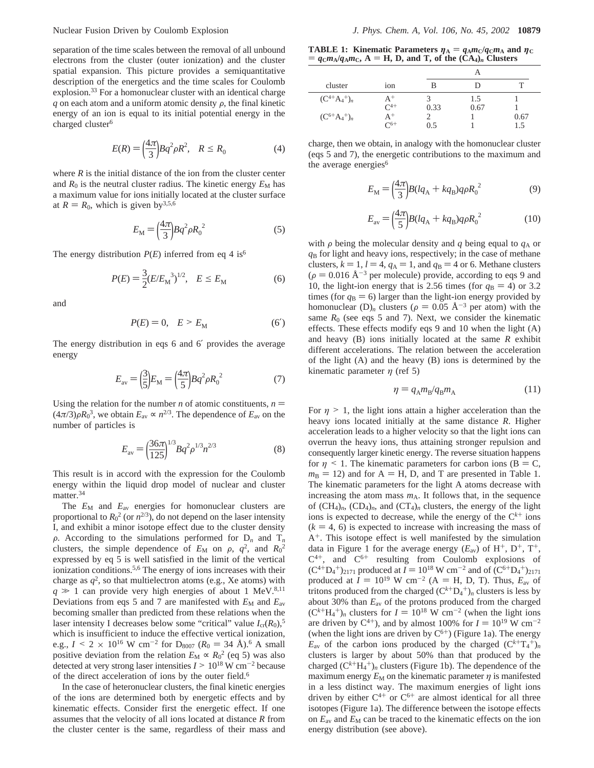separation of the time scales between the removal of all unbound electrons from the cluster (outer ionization) and the cluster spatial expansion. This picture provides a semiquantitative description of the energetics and the time scales for Coulomb explosion.33 For a homonuclear cluster with an identical charge  $q$  on each atom and a uniform atomic density  $\rho$ , the final kinetic energy of an ion is equal to its initial potential energy in the charged cluster<sup>6</sup>

$$
E(R) = \left(\frac{4\pi}{3}\right) Bq^2 \rho R^2, \quad R \le R_0 \tag{4}
$$

where  $R$  is the initial distance of the ion from the cluster center and  $R_0$  is the neutral cluster radius. The kinetic energy  $E_M$  has a maximum value for ions initially located at the cluster surface at  $R = R_0$ , which is given by<sup>3,5,6</sup>

$$
E_{\rm M} = \left(\frac{4\pi}{3}\right) Bq^2 \rho R_0^2 \tag{5}
$$

The energy distribution  $P(E)$  inferred from eq 4 is<sup>6</sup>

$$
P(E) = \frac{3}{2} (E/E_{\rm M}^{3})^{1/2}, \quad E \le E_{\rm M}
$$
 (6)

and

$$
P(E) = 0, \quad E > E_M \tag{6'}
$$

The energy distribution in eqs 6 and 6′ provides the average energy

$$
E_{\rm av} = \left(\frac{3}{5}\right) E_{\rm M} = \left(\frac{4\pi}{5}\right) Bq^2 \rho R_0^2 \tag{7}
$$

Using the relation for the number *n* of atomic constituents,  $n =$  $(4\pi/3)\rho R_0^3$ , we obtain  $E_{av} \propto n^{2/3}$ . The dependence of  $E_{av}$  on the number of particles is number of particles is

$$
E_{\rm av} = \left(\frac{36\pi}{125}\right)^{1/3} Bq^2 \rho^{1/3} n^{2/3} \tag{8}
$$

This result is in accord with the expression for the Coulomb energy within the liquid drop model of nuclear and cluster matter.34

The  $E_M$  and  $E_{av}$  energies for homonuclear clusters are proportional to  $R_0^2$  (or  $n^{2/3}$ ), do not depend on the laser intensity I, and exhibit a minor isotope effect due to the cluster density  $\rho$ . According to the simulations performed for  $D_n$  and  $T_n$ clusters, the simple dependence of  $E_M$  on  $\rho$ ,  $q^2$ , and  $R_0^2$ <br>expressed by eq 5 is well satisfied in the limit of the vertical expressed by eq 5 is well satisfied in the limit of the vertical ionization conditions.<sup>5,6</sup> The energy of ions increases with their charge as  $q^2$ , so that multielectron atoms (e.g., Xe atoms) with  $q \gg 1$  can provide very high energies of about 1 MeV.<sup>8,11</sup> Deviations from eqs 5 and 7 are manifested with  $E_M$  and  $E_{av}$ becoming smaller than predicted from these relations when the laser intensity I decreases below some "critical" value  $I_{cr}(R_0)$ ,<sup>5</sup> which is insufficient to induce the effective vertical ionization, e.g.,  $I \le 2 \times 10^{16}$  W cm<sup>-2</sup> for D<sub>8007</sub> ( $R_0 = 34$  Å).<sup>6</sup> A small positive deviation from the relation  $E_M \propto R_0^2$  (eq 5) was also detected at very strong laser intensities  $I > 10^{18}$  W cm<sup>-2</sup> because of the direct acceleration of ions by the outer field.<sup>6</sup>

In the case of heteronuclear clusters, the final kinetic energies of the ions are determined both by energetic effects and by kinematic effects. Consider first the energetic effect. If one assumes that the velocity of all ions located at distance *R* from the cluster center is the same, regardless of their mass and

**TABLE 1:** Kinematic Parameters  $\eta_A = q_A m_C/q_C m_A$  and  $\eta_C$  $= q_{\rm C} m_{\rm A} / q_{\rm A} m_{\rm C}$ , A = H, D, and T, of the  $(\rm CA_4)$ <sup>*n*</sup> Clusters

| cluster           | 10 <sub>n</sub> | в    | Ð    |      |
|-------------------|-----------------|------|------|------|
| $(C^{4+}A_4^+)_n$ | $A^+$           | 3    | 1.5  |      |
|                   | $C^{4+}$        | 0.33 | 0.67 |      |
| $(C^{6+}A_4^+)_n$ | $\mathrm{A}^+$  |      |      | 0.67 |
|                   | $C^{6+}$        | 0.5  |      | 1.5  |

charge, then we obtain, in analogy with the homonuclear cluster (eqs 5 and 7), the energetic contributions to the maximum and the average energies<sup>6</sup>

$$
E_{\rm M} = \left(\frac{4\pi}{3}\right) B (l q_{\rm A} + k q_{\rm B}) q \rho R_0^2 \tag{9}
$$

$$
E_{\rm av} = \left(\frac{4\pi}{5}\right) B (lq_{\rm A} + kq_{\rm B}) q \rho R_0^{\ 2} \tag{10}
$$

with  $\rho$  being the molecular density and *q* being equal to  $q_A$  or *q*<sup>B</sup> for light and heavy ions, respectively; in the case of methane clusters,  $k = 1$ ,  $l = 4$ ,  $q_A = 1$ , and  $q_B = 4$  or 6. Methane clusters  $(\rho = 0.016 \text{ Å}^{-3}$  per molecule) provide, according to eqs 9 and 10, the light-ion energy that is 2.56 times (for  $q_B = 4$ ) or 3.2 times (for  $q_B = 6$ ) larger than the light-ion energy provided by homonuclear (D)<sub>n</sub> clusters ( $\rho = 0.05 \text{ Å}^{-3}$  per atom) with the same  $R_0$  (see eqs 5 and 7). Next, we consider the kinematic effects. These effects modify eqs 9 and 10 when the light (A) and heavy (B) ions initially located at the same *R* exhibit different accelerations. The relation between the acceleration of the light (A) and the heavy (B) ions is determined by the kinematic parameter *η* (ref 5)

$$
\eta = q_A m_B / q_B m_A \tag{11}
$$

For  $\eta > 1$ , the light ions attain a higher acceleration than the heavy ions located initially at the same distance *R*. Higher acceleration leads to a higher velocity so that the light ions can overrun the heavy ions, thus attaining stronger repulsion and consequently larger kinetic energy. The reverse situation happens for  $\eta$  < 1. The kinematic parameters for carbon ions (B = C,  $m<sub>B</sub> = 12$ ) and for A = H, D, and T are presented in Table 1. The kinematic parameters for the light A atoms decrease with increasing the atom mass  $m_A$ . It follows that, in the sequence of  $(CH_4)_n$ ,  $(CD_4)_n$ , and  $(CT_4)_n$  clusters, the energy of the light ions is expected to decrease, while the energy of the  $C<sup>k+</sup>$  ions  $(k = 4, 6)$  is expected to increase with increasing the mass of A+. This isotope effect is well manifested by the simulation data in Figure 1 for the average energy  $(E_{av})$  of H<sup>+</sup>, D<sup>+</sup>, T<sup>+</sup>,  $C^{4+}$ , and  $C^{6+}$  resulting from Coulomb explosions of  $(C^{4}D_{4}^{+})_{2171}^{+}$  produced at  $I = 10^{18}$  W cm<sup>-2</sup> and of  $(C^{6}D_{4}^{+})_{2171}^{+}$ <br>produced at  $I = 10^{19}$  W cm<sup>-2</sup> (A = H D T) Thus F of produced at  $I = 10^{19}$  W cm<sup>-2</sup> (A = H, D, T). Thus,  $E_{av}$  of tritons produced from the charged  $(C^{k+}D_4^+)_n$  clusters is less by about 30% than *E*av of the protons produced from the charged  $(C^{k+}H_4^+)$ <sub>n</sub> clusters for  $I = 10^{18}$  W cm<sup>-2</sup> (when the light ions are driven by  $C^{4+}$ ) and by almost 100% for  $I = 10^{19}$  W cm<sup>-2</sup> are driven by  $C^{4+}$ ), and by almost 100% for  $I = 10^{19}$  W cm<sup>-2</sup> (when the light ions are driven by  $C^{6+}$ ) (Figure 1a). The energy  $E_{\text{av}}$  of the carbon ions produced by the charged  $(C^{k+}T_4^+)_n$ clusters is larger by about 50% than that produced by the charged  $(C^{k+}H_4^+)_n$  clusters (Figure 1b). The dependence of the maximum energy  $E_M$  on the kinematic parameter  $\eta$  is manifested in a less distinct way. The maximum energies of light ions driven by either  $C^{4+}$  or  $C^{6+}$  are almost identical for all three isotopes (Figure 1a). The difference between the isotope effects on  $E_{\text{av}}$  and  $E_{\text{M}}$  can be traced to the kinematic effects on the ion energy distribution (see above).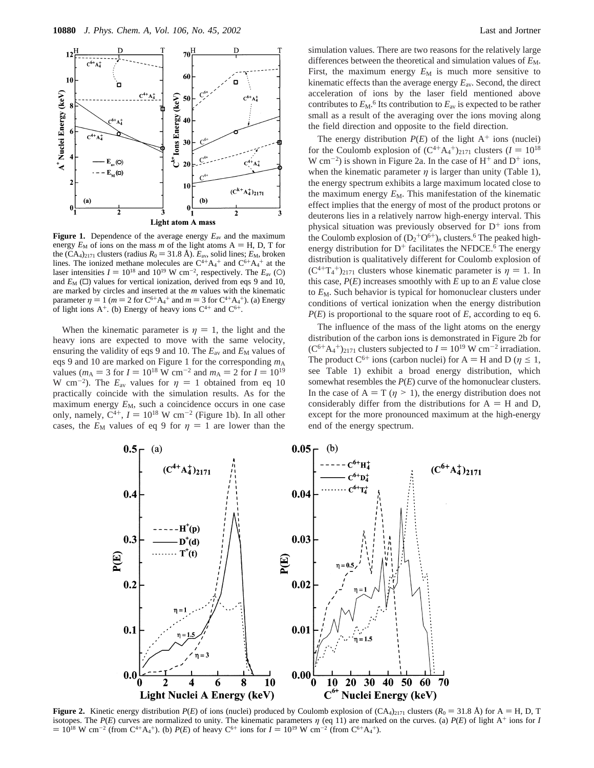

**Light atom A mass** 

**Figure 1.** Dependence of the average energy *E*av and the maximum energy  $E_M$  of ions on the mass *m* of the light atoms  $A = H$ , D, T for the  $(CA_4)_{2171}$  clusters (radius  $R_0 = 31.8 \text{ Å}$ ).  $E_{av}$ , solid lines;  $E_M$ , broken lines. The ionized methane molecules are  $C^{4+}A_4^+$  and  $C^{6+}A_4^+$  at the laser intensities  $I = 10^{18}$  and  $10^{19}$  W cm<sup>-2</sup>, respectively. The  $E_{av}$  (O) and  $F_{va}$  ( $\Box$ ) values for vertical ionization, derived from eqs. 9 and 10. and  $E_M$  ( $\square$ ) values for vertical ionization, derived from eqs 9 and 10, are marked by circles and inserted at the *m* values with the kinematic parameter  $\eta = 1$  ( $m = 2$  for  $C^{6+}A_4^+$  and  $m = 3$  for  $C^{4+}A_4^+$ ). (a) Energy of light ions  $A^+$  (b) Energy of heavy ions  $C^{4+}$  and  $C^{6+}$ of light ions  $A^+$ . (b) Energy of heavy ions  $C^{4+}$  and  $C^{6+}$ .

When the kinematic parameter is  $\eta = 1$ , the light and the heavy ions are expected to move with the same velocity, ensuring the validity of eqs 9 and 10. The  $E_{\text{av}}$  and  $E_{\text{M}}$  values of eqs 9 and 10 are marked on Figure 1 for the corresponding  $m_A$ values ( $m_A = 3$  for  $I = 10^{18}$  W cm<sup>-2</sup> and  $m_A = 2$  for  $I = 10^{19}$ W cm<sup>-2</sup>). The  $E_{av}$  values for  $\eta = 1$  obtained from eq 10 practically coincide with the simulation results. As for the maximum energy  $E_M$ , such a coincidence occurs in one case only, namely,  $C^{4+}$ ,  $I = 10^{18}$  W cm<sup>-2</sup> (Figure 1b). In all other cases, the  $E_M$  values of eq 9 for  $\eta = 1$  are lower than the

simulation values. There are two reasons for the relatively large differences between the theoretical and simulation values of  $E_M$ . First, the maximum energy  $E_M$  is much more sensitive to kinematic effects than the average energy *E*av. Second, the direct acceleration of ions by the laser field mentioned above contributes to  $E_M$ .<sup>6</sup> Its contribution to  $E_{av}$  is expected to be rather small as a result of the averaging over the ions moving along the field direction and opposite to the field direction.

The energy distribution  $P(E)$  of the light  $A^+$  ions (nuclei) for the Coulomb explosion of  $(C^{4+}A_4^+)_{2171}$  clusters  $(I = 10^{18}$ <br>W cm<sup>-2</sup>) is shown in Figure 2a. In the case of H<sup>+</sup> and D<sup>+</sup> jons W cm<sup>-2</sup>) is shown in Figure 2a. In the case of  $H^+$  and  $D^+$  ions, when the kinematic parameter  $\eta$  is larger than unity (Table 1), the energy spectrum exhibits a large maximum located close to the maximum energy  $E_M$ . This manifestation of the kinematic effect implies that the energy of most of the product protons or deuterons lies in a relatively narrow high-energy interval. This physical situation was previously observed for  $D^+$  ions from the Coulomb explosion of  $(D_2 + O^{6+})_n$  clusters.<sup>6</sup> The peaked highenergy distribution for  $D^+$  facilitates the NFDCE.<sup>6</sup> The energy distribution is qualitatively different for Coulomb explosion of  $(C^{4+}T_4^+)_{2171}$  clusters whose kinematic parameter is  $\eta = 1$ . In this case  $P(F)$  increases smoothly with F up to an F value close this case,  $P(E)$  increases smoothly with  $E$  up to an  $E$  value close to  $E_M$ . Such behavior is typical for homonuclear clusters under conditions of vertical ionization when the energy distribution *P*(*E*) is proportional to the square root of *E*, according to eq 6.

The influence of the mass of the light atoms on the energy distribution of the carbon ions is demonstrated in Figure 2b for  $(C^{6+}A_4^+)_{2171}$  clusters subjected to  $I = 10^{19}$  W cm<sup>-2</sup> irradiation.<br>The product  $C^{6+}$  ions (carbon nuclei) for  $A = H$  and D ( $n \le 1$ ) The product C<sup>6+</sup> ions (carbon nuclei) for A = H and D ( $\eta \le 1$ , see Table 1) exhibit a broad energy distribution, which somewhat resembles the *P*(*E*) curve of the homonuclear clusters. In the case of  $A = T$  ( $\eta > 1$ ), the energy distribution does not considerably differ from the distributions for  $A = H$  and D, except for the more pronounced maximum at the high-energy end of the energy spectrum.



**Figure 2.** Kinetic energy distribution  $P(E)$  of ions (nuclei) produced by Coulomb explosion of  $(CA_4)_{2171}$  clusters  $(R_0 = 31.8 \text{ Å})$  for A = H, D, T isotopes. The *P*(*E*) curves are normalized to unity. The kinematic parameters  $\eta$  (eq 11) are marked on the curves. (a) *P*(*E*) of light A<sup>+</sup> ions for *I*  $= 10^{18}$  W cm<sup>-2</sup> (from C<sup>4+</sup>A<sub>4</sub><sup>+</sup>). (b) *P*(*E*) of heavy C<sup>6+</sup> ions for  $I = 10^{19}$  W cm<sup>-2</sup> (from C<sup>6+</sup>A<sub>4</sub><sup>+</sup>).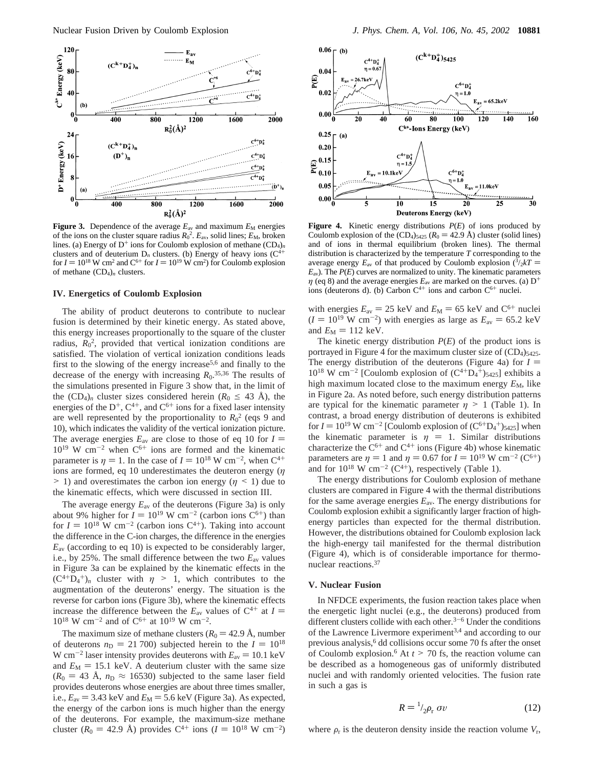

**Figure 3.** Dependence of the average  $E_{av}$  and maximum  $E_M$  energies of the ions on the cluster square radius  $R_0^2$ .  $E_{\text{av}}$ , solid lines;  $E_M$ , broken lines. (a) Energy of  $D^+$  ions for Coulomb explosion of methane  $(CD_4)_n$ clusters and of deuterium  $D_n$  clusters. (b) Energy of heavy ions ( $C^{4+}$ for  $I = 10^{18}$  W cm<sup>2</sup> and  $C^{6+}$  for  $I = 10^{19}$  W cm<sup>2</sup>) for Coulomb explosion<br>of methane (CD<sub>O</sub>), clusters of methane  $(CD_4)_n$  clusters.

#### **IV. Energetics of Coulomb Explosion**

The ability of product deuterons to contribute to nuclear fusion is determined by their kinetic energy. As stated above, this energy increases proportionally to the square of the cluster radius,  $R_0^2$ , provided that vertical ionization conditions are satisfied. The violation of vertical ionization conditions leads first to the slowing of the energy increase5,6 and finally to the decrease of the energy with increasing  $R_0$ .<sup>35,36</sup> The results of the simulations presented in Figure 3 show that, in the limit of the  $(CD_4)$ <sub>n</sub> cluster sizes considered herein  $(R_0 \leq 43 \text{ Å})$ , the energies of the  $D^+$ ,  $C^{4+}$ , and  $C^{6+}$  ions for a fixed laser intensity are well represented by the proportionality to  $R_0^2$  (eqs 9 and 10), which indicates the validity of the vertical ionization picture. The average energies  $E_{av}$  are close to those of eq 10 for  $I =$  $10^{19}$  W cm<sup>-2</sup> when C<sup>6+</sup> ions are formed and the kinematic parameter is  $\eta = 1$ . In the case of  $I = 10^{18}$  W cm<sup>-2</sup>, when C<sup>4+</sup> ions are formed, eq 10 underestimates the deuteron energy (*η*  $> 1$ ) and overestimates the carbon ion energy ( $\eta$  < 1) due to the kinematic effects, which were discussed in section III.

The average energy *E*av of the deuterons (Figure 3a) is only about 9% higher for  $I = 10^{19}$  W cm<sup>-2</sup> (carbon ions C<sup>6+</sup>) than for  $I = 10^{18}$  W cm<sup>-2</sup> (carbon ions C<sup>4+</sup>). Taking into account the difference in the C-ion charges, the difference in the energies *E*av (according to eq 10) is expected to be considerably larger, i.e., by 25%. The small difference between the two *E*av values in Figure 3a can be explained by the kinematic effects in the  $(C^{4}D_{4}^{+})_{n}$  cluster with  $\eta > 1$ , which contributes to the augmentation of the deuterons' energy. The situation is the augmentation of the deuterons' energy. The situation is the reverse for carbon ions (Figure 3b), where the kinematic effects increase the difference between the  $E_{av}$  values of  $C^{4+}$  at  $I =$  $10^{18}$  W cm<sup>-2</sup> and of C<sup>6+</sup> at  $10^{19}$  W cm<sup>-2</sup>.

The maximum size of methane clusters ( $R_0 = 42.9$  Å, number of deuterons  $n_D = 21,700$ ) subjected herein to the  $I = 10^{18}$ W cm<sup>-2</sup> laser intensity provides deuterons with  $E_{av}$  = 10.1 keV and  $E_M = 15.1$  keV. A deuterium cluster with the same size  $(R_0 = 43 \text{ Å}, n_D \approx 16530)$  subjected to the same laser field provides deuterons whose energies are about three times smaller, i.e.,  $E_{av}$  = 3.43 keV and  $E_M$  = 5.6 keV (Figure 3a). As expected, the energy of the carbon ions is much higher than the energy of the deuterons. For example, the maximum-size methane cluster ( $R_0 = 42.9 \text{ Å}$ ) provides C<sup>4+</sup> ions ( $I = 10^{18} \text{ W cm}^{-2}$ )



**Figure 4.** Kinetic energy distributions *P*(*E*) of ions produced by Coulomb explosion of the  $(CD_4)_{5425}$   $(R_0 = 42.9 \text{ Å})$  cluster (solid lines) and of ions in thermal equilibrium (broken lines). The thermal distribution is characterized by the temperature *T* corresponding to the average energy  $E_{av}$  of that produced by Coulomb explosion  $\frac{3}{2}kT = E_{av}$ ). The *P(F)* curves are normalized to unity. The kinematic parameters  $E_{av}$ ). The  $P(E)$  curves are normalized to unity. The kinematic parameters *η* (eq 8) and the average energies  $E_{av}$  are marked on the curves. (a)  $D^+$ ions (deuterons d). (b) Carbon  $C^{4+}$  ions and carbon  $C^{6+}$  nuclei.

with energies  $E_{\text{av}} = 25 \text{ keV}$  and  $E_M = 65 \text{ keV}$  and  $C^{6+}$  nuclei  $(I = 10^{19} \text{ W cm}^{-2})$  with energies as large as  $E_{av} = 65.2 \text{ keV}$ and  $E_M = 112$  keV.

The kinetic energy distribution *P*(*E*) of the product ions is portrayed in Figure 4 for the maximum cluster size of  $(CD<sub>4</sub>)<sub>5425</sub>$ . The energy distribution of the deuterons (Figure 4a) for  $I =$  $10^{18}$  W cm<sup>-2</sup> [Coulomb explosion of  $(C^{4+}D_4^+)_{5425}$ ] exhibits a high maximum located close to the maximum energy  $E_M$ , like in Figure 2a. As noted before, such energy distribution patterns are typical for the kinematic parameter  $\eta > 1$  (Table 1). In contrast, a broad energy distribution of deuterons is exhibited for  $I = 10^{19}$  W cm<sup>-2</sup> [Coulomb explosion of  $(C^{6+}D_4^+)$ <sub>5425</sub>] when<br>the kinematic parameter is  $n = 1$  Similar distributions the kinematic parameter is  $\eta = 1$ . Similar distributions characterize the  $C^{6+}$  and  $C^{4+}$  ions (Figure 4b) whose kinematic parameters are  $\eta = 1$  and  $\eta = 0.67$  for  $I = 10^{19}$  W cm<sup>-2</sup> (C<sup>6+</sup>) and for  $10^{18}$  W cm<sup>-2</sup> (C<sup>4+</sup>), respectively (Table 1).

The energy distributions for Coulomb explosion of methane clusters are compared in Figure 4 with the thermal distributions for the same average energies  $E_{av}$ . The energy distributions for Coulomb explosion exhibit a significantly larger fraction of highenergy particles than expected for the thermal distribution. However, the distributions obtained for Coulomb explosion lack the high-energy tail manifested for the thermal distribution (Figure 4), which is of considerable importance for thermonuclear reactions.37

#### **V. Nuclear Fusion**

In NFDCE experiments, the fusion reaction takes place when the energetic light nuclei (e.g., the deuterons) produced from different clusters collide with each other. $3-6$  Under the conditions of the Lawrence Livermore experiment<sup>3,4</sup> and according to our previous analysis,<sup>6</sup> dd collisions occur some 70 fs after the onset of Coulomb explosion.<sup>6</sup> At  $t > 70$  fs, the reaction volume can be described as a homogeneous gas of uniformly distributed nuclei and with randomly oriented velocities. The fusion rate in such a gas is

$$
R = {}^{1}_{2} \rho_{r} \langle \sigma v \rangle \tag{12}
$$

where  $\rho_r$  is the deuteron density inside the reaction volume  $V_r$ ,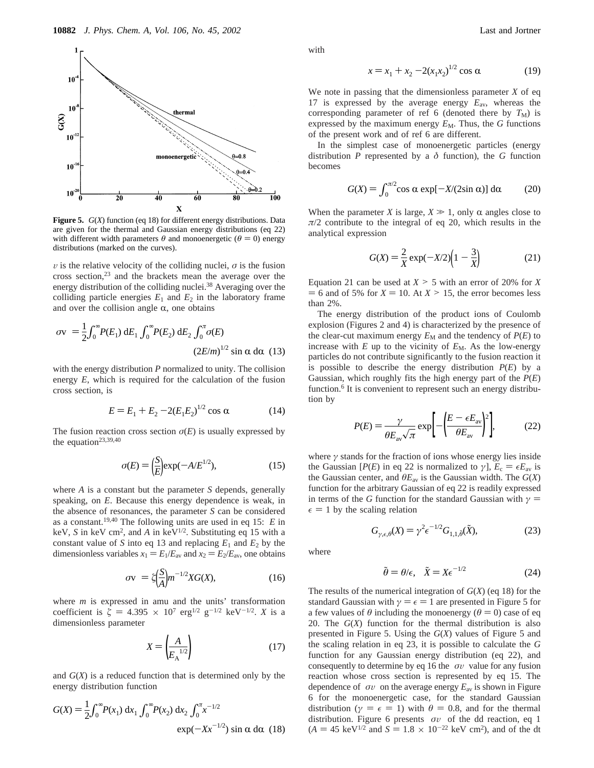

**Figure 5.** *G*(*X*) function (eq 18) for different energy distributions. Data are given for the thermal and Gaussian energy distributions (eq 22) with different width parameters  $\theta$  and monoenergetic ( $\theta = 0$ ) energy distributions (marked on the curves).

 $\nu$  is the relative velocity of the colliding nuclei,  $\sigma$  is the fusion cross section,23 and the brackets mean the average over the energy distribution of the colliding nuclei.<sup>38</sup> Averaging over the colliding particle energies  $E_1$  and  $E_2$  in the laboratory frame and over the collision angle  $\alpha$ , one obtains

$$
\langle \sigma v \rangle = \frac{1}{2} \int_0^\infty P(E_1) \, dE_1 \int_0^\infty P(E_2) \, dE_2 \int_0^\pi \sigma(E)
$$
\n
$$
(2E/m)^{1/2} \sin \alpha \, d\alpha \quad (13)
$$

with the energy distribution *P* normalized to unity. The collision energy *E*, which is required for the calculation of the fusion cross section, is

$$
E = E_1 + E_2 - 2(E_1 E_2)^{1/2} \cos \alpha \tag{14}
$$

The fusion reaction cross section  $\sigma(E)$  is usually expressed by the equation<sup>23,39,40</sup>

$$
\sigma(E) = \left(\frac{S}{E}\right) \exp(-A/E^{1/2}),\tag{15}
$$

where *A* is a constant but the parameter *S* depends, generally speaking, on *E*. Because this energy dependence is weak, in the absence of resonances, the parameter *S* can be considered as a constant.19,40 The following units are used in eq 15: *E* in keV, *S* in keV cm2, and *A* in keV1/2. Substituting eq 15 with a constant value of *S* into eq 13 and replacing  $E_1$  and  $E_2$  by the dimensionless variables  $x_1 = E_1/E_{av}$  and  $x_2 = E_2/E_{av}$ , one obtains

$$
\langle \sigma v \rangle = \zeta \left(\frac{S}{A}\right) m^{-1/2} X G(X),\tag{16}
$$

where *m* is expressed in amu and the units' transformation coefficient is  $\zeta = 4.395 \times 10^7 \text{ erg}^{1/2} \text{ g}^{-1/2} \text{ keV}^{-1/2}$ . *X* is a dimensionless parameter

$$
X = \left(\frac{A}{E_A^{-1/2}}\right) \tag{17}
$$

and  $G(X)$  is a reduced function that is determined only by the energy distribution function

$$
G(X) = \frac{1}{2} \int_0^{\infty} P(x_1) dx_1 \int_0^{\infty} P(x_2) dx_2 \int_0^{\pi} x^{-1/2} \exp(-Xx^{-1/2}) \sin \alpha d\alpha
$$
 (18)

with

We note in passing that the dimensionless parameter *X* of eq 17 is expressed by the average energy *E*av, whereas the corresponding parameter of ref 6 (denoted there by  $T_M$ ) is expressed by the maximum energy  $E_M$ . Thus, the  $G$  functions of the present work and of ref 6 are different.

In the simplest case of monoenergetic particles (energy distribution *P* represented by a  $\delta$  function), the *G* function becomes

$$
G(X) = \int_0^{\pi/2} \cos \alpha \, \exp[-X/(2\sin \alpha)] \, \mathrm{d}\alpha \tag{20}
$$

When the parameter *X* is large,  $X \gg 1$ , only  $\alpha$  angles close to  $\pi/2$  contribute to the integral of eq 20, which results in the analytical expression

$$
G(X) = \frac{2}{X} \exp(-X/2) \left(1 - \frac{3}{X}\right)
$$
 (21)

Equation 21 can be used at  $X > 5$  with an error of 20% for *X*  $= 6$  and of 5% for  $X = 10$ . At  $X > 15$ , the error becomes less than 2%.

The energy distribution of the product ions of Coulomb explosion (Figures 2 and 4) is characterized by the presence of the clear-cut maximum energy  $E_M$  and the tendency of  $P(E)$  to increase with  $E$  up to the vicinity of  $E_M$ . As the low-energy particles do not contribute significantly to the fusion reaction it is possible to describe the energy distribution *P*(*E*) by a Gaussian, which roughly fits the high energy part of the *P*(*E*) function.<sup>6</sup> It is convenient to represent such an energy distribution by

$$
P(E) = \frac{\gamma}{\theta E_{\text{av}} \sqrt{\pi}} \exp\left[-\left(\frac{E - \epsilon E_{\text{av}}}{\theta E_{\text{av}}}\right)^2\right],\tag{22}
$$

where  $\gamma$  stands for the fraction of ions whose energy lies inside the Gaussian [*P*(*E*) in eq 22 is normalized to  $\gamma$ ],  $E_c = \epsilon E_{av}$  is the Gaussian center, and  $\theta E_{av}$  is the Gaussian width. The  $G(X)$ function for the arbitrary Gaussian of eq 22 is readily expressed in terms of the *G* function for the standard Gaussian with  $\gamma$  =  $\epsilon = 1$  by the scaling relation

$$
G_{\gamma,\epsilon,\theta}(X) = \gamma^2 \epsilon^{-1/2} G_{1,1,\tilde{\theta}}(\tilde{X}),\tag{23}
$$

where

$$
\tilde{\theta} = \theta/\epsilon, \quad \tilde{X} = X\epsilon^{-1/2} \tag{24}
$$

The results of the numerical integration of *G*(*X*) (eq 18) for the standard Gaussian with  $\gamma = \epsilon = 1$  are presented in Figure 5 for a few values of  $\theta$  including the monoenergy ( $\theta = 0$ ) case of eq 20. The *G*(*X*) function for the thermal distribution is also presented in Figure 5. Using the *G*(*X*) values of Figure 5 and the scaling relation in eq 23, it is possible to calculate the *G* function for any Gaussian energy distribution (eq 22), and consequently to determine by eq 16 the  $\langle \sigma v \rangle$  value for any fusion reaction whose cross section is represented by eq 15. The dependence of  $\langle \sigma v \rangle$  on the average energy  $E_{av}$  is shown in Figure 6 for the monoenergetic case, for the standard Gaussian distribution ( $\gamma = \epsilon = 1$ ) with  $\theta = 0.8$ , and for the thermal distribution. Figure 6 presents  $\langle \sigma v \rangle$  of the dd reaction, eq 1  $(A = 45 \text{ keV}^{1/2} \text{ and } S = 1.8 \times 10^{-22} \text{ keV cm}^2)$ , and of the dt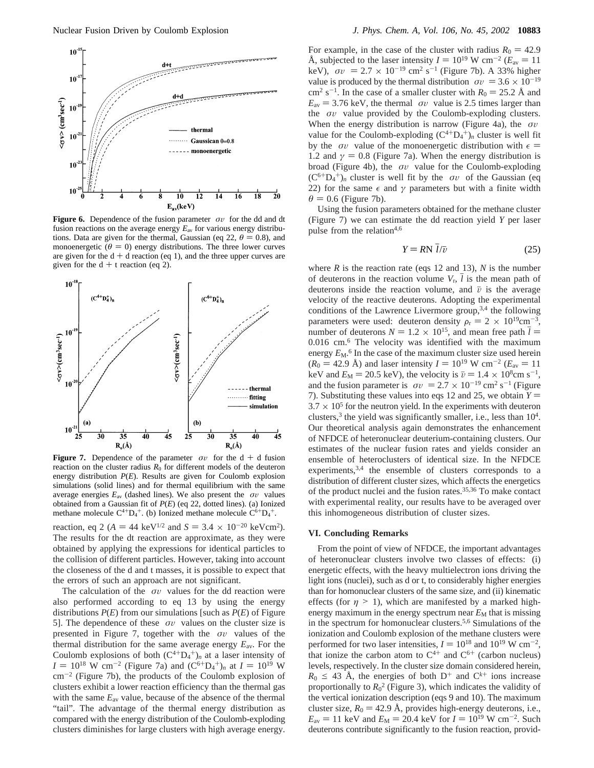

**Figure 6.** Dependence of the fusion parameter  $\langle \sigma v \rangle$  for the dd and dt fusion reactions on the average energy *E*av for various energy distributions. Data are given for the thermal, Gaussian (eq 22,  $\theta = 0.8$ ), and monoenergetic ( $\theta = 0$ ) energy distributions. The three lower curves are given for the  $d + d$  reaction (eq 1), and the three upper curves are given for the  $d + t$  reaction (eq 2).



**Figure 7.** Dependence of the parameter  $\langle \sigma v \rangle$  for the d + d fusion reaction on the cluster radius  $R_0$  for different models of the deuteron energy distribution *P*(*E*). Results are given for Coulomb explosion simulations (solid lines) and for thermal equilibrium with the same average energies  $E_{av}$  (dashed lines). We also present the  $\langle \sigma v \rangle$  values obtained from a Gaussian fit of *P*(*E*) (eq 22, dotted lines). (a) Ionized methane molecule  $C^{4+}D_4^+$ . (b) Ionized methane molecule  $C^{6+}D_4^+$ .

reaction, eq 2 ( $A = 44 \text{ keV}^{1/2}$  and  $S = 3.4 \times 10^{-20} \text{ keV cm}^2$ ). The results for the dt reaction are approximate, as they were obtained by applying the expressions for identical particles to the collision of different particles. However, taking into account the closeness of the d and t masses, it is possible to expect that the errors of such an approach are not significant.

The calculation of the  $\langle \sigma v \rangle$  values for the dd reaction were also performed according to eq 13 by using the energy distributions  $P(E)$  from our simulations [such as  $P(E)$  of Figure 5]. The dependence of these  $\langle \sigma v \rangle$  values on the cluster size is presented in Figure 7, together with the  $\langle \sigma v \rangle$  values of the thermal distribution for the same average energy *E*av. For the Coulomb explosions of both  $(C^{4+}D_4^+)_n$  at a laser intensity of  $I = 10^{18}$  W cm<sup>-2</sup> (Figure 7a) and ( $C^{6+}D_4^+$ )<sub>n</sub> at  $I = 10^{19}$  W cm<sup>-2</sup> (Figure 7b), the products of the Coulomb explosion of  $cm^{-2}$  (Figure 7b), the products of the Coulomb explosion of clusters exhibit a lower reaction efficiency than the thermal gas with the same  $E_{av}$  value, because of the absence of the thermal "tail". The advantage of the thermal energy distribution as compared with the energy distribution of the Coulomb-exploding clusters diminishes for large clusters with high average energy.

For example, in the case of the cluster with radius  $R_0 = 42.9$ Å, subjected to the laser intensity  $I = 10^{19}$  W cm<sup>-2</sup> ( $E_{av} = 11$ ) keV),  $\langle \sigma v \rangle = 2.7 \times 10^{-19}$  cm<sup>2</sup> s<sup>-1</sup> (Figure 7b). A 33% higher value is produced by the thermal distribution  $\langle \sigma v \rangle = 3.6 \times 10^{-19}$ cm<sup>2</sup> s<sup>-1</sup>. In the case of a smaller cluster with  $R_0 = 25.2$  Å and  $E_{\text{av}} = 3.76 \text{ keV}$ , the thermal  $\langle \sigma v \rangle$  value is 2.5 times larger than the  $\langle \sigma v \rangle$  value provided by the Coulomb-exploding clusters. When the energy distribution is narrow (Figure 4a), the  $\langle \sigma v \rangle$ value for the Coulomb-exploding  $(C^{4+}D_4^+)_n$  cluster is well fit by the  $\langle \sigma v \rangle$  value of the monoenergetic distribution with  $\epsilon =$ 1.2 and  $\gamma = 0.8$  (Figure 7a). When the energy distribution is broad (Figure 4b), the  $\langle \sigma v \rangle$  value for the Coulomb-exploding  $(C^{6+}D_4^+)$ <sub>*n*</sub> cluster is well fit by the  $\langle \sigma v \rangle$  of the Gaussian (eq. 22) for the same  $\epsilon$  and  $\gamma$  parameters but with a finite width 22) for the same  $\epsilon$  and  $\gamma$  parameters but with a finite width  $\theta$  = 0.6 (Figure 7b).

Using the fusion parameters obtained for the methane cluster (Figure 7) we can estimate the dd reaction yield *Y* per laser pulse from the relation $4,6$ 

$$
Y = RN \, \bar{l}/\bar{v} \tag{25}
$$

where  $R$  is the reaction rate (eqs 12 and 13),  $N$  is the number of deuterons in the reaction volume  $V_r$ ,  $l$  is the mean path of deuterons inside the reaction volume, and  $\bar{v}$  is the average velocity of the reactive deuterons. Adopting the experimental conditions of the Lawrence Livermore group,  $3,4$  the following parameters were used: deuteron density  $\rho_r = 2 \times 10^{19} \text{cm}^{-3}$ , number of deuterons  $N = 1.2 \times 10^{15}$ , and mean free path  $\bar{l} =$ 0.016 cm.6 The velocity was identified with the maximum energy  $E_M$ <sup>6</sup> In the case of the maximum cluster size used herein  $(R_0 = 42.9 \text{ Å})$  and laser intensity  $I = 10^{19} \text{ W cm}^{-2}$  ( $E_{av} = 11$ ) keV and  $E_M = 20.5$  keV), the velocity is  $\bar{v} = 1.4 \times 10^8$ cm s<sup>-1</sup>, and the fusion parameter is  $\langle \sigma v \rangle = 2.7 \times 10^{-19} \text{ cm}^2 \text{ s}^{-1}$  (Figure 7). Substituting these values into eqs 12 and 25, we obtain  $Y =$  $3.7 \times 10^5$  for the neutron yield. In the experiments with deuteron clusters,<sup>3</sup> the yield was significantly smaller, i.e., less than  $10<sup>4</sup>$ . Our theoretical analysis again demonstrates the enhancement of NFDCE of heteronuclear deuterium-containing clusters. Our estimates of the nuclear fusion rates and yields consider an ensemble of heteroclusters of identical size. In the NFDCE experiments,  $3,4$  the ensemble of clusters corresponds to a distribution of different cluster sizes, which affects the energetics of the product nuclei and the fusion rates.35,36 To make contact with experimental reality, our results have to be averaged over this inhomogeneous distribution of cluster sizes.

### **VI. Concluding Remarks**

From the point of view of NFDCE, the important advantages of heteronuclear clusters involve two classes of effects: (i) energetic effects, with the heavy multielectron ions driving the light ions (nuclei), such as d or t, to considerably higher energies than for homonuclear clusters of the same size, and (ii) kinematic effects (for  $\eta > 1$ ), which are manifested by a marked highenergy maximum in the energy spectrum near  $E_M$  that is missing in the spectrum for homonuclear clusters.5,6 Simulations of the ionization and Coulomb explosion of the methane clusters were performed for two laser intensities,  $I = 10^{18}$  and  $10^{19}$  W cm<sup>-2</sup>, that ionize the carbon atom to  $C^{4+}$  and  $C^{6+}$  (carbon nucleus) levels, respectively. In the cluster size domain considered herein,  $R_0 \leq 43$  Å, the energies of both D<sup>+</sup> and C<sup>k+</sup> ions increase proportionally to  $R_0^2$  (Figure 3), which indicates the validity of the vertical ionization description (eqs 9 and 10). The maximum cluster size,  $R_0 = 42.9$  Å, provides high-energy deuterons, i.e.,  $E_{\text{av}} = 11 \text{ keV}$  and  $E_M = 20.4 \text{ keV}$  for  $I = 10^{19} \text{ W cm}^{-2}$ . Such deuterons contribute significantly to the fusion reaction, provid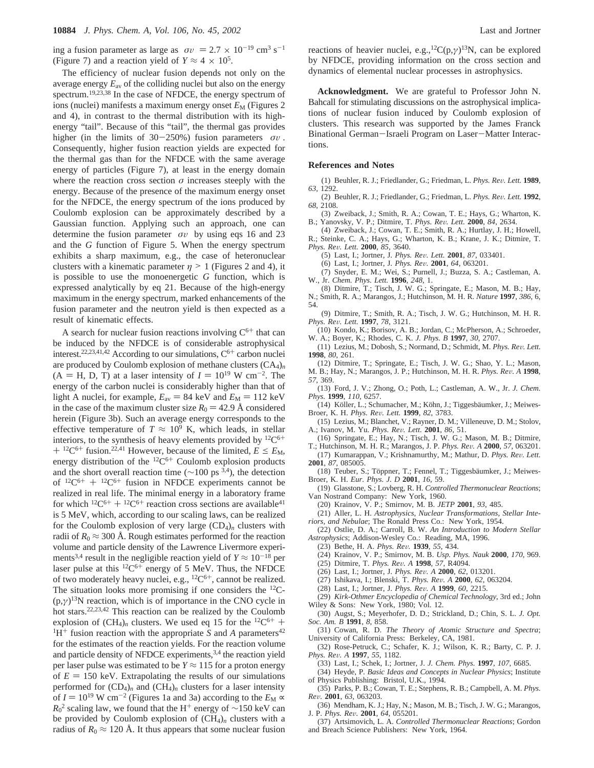ing a fusion parameter as large as  $\langle \sigma v \rangle = 2.7 \times 10^{-19}$  cm<sup>3</sup> s<sup>-1</sup> (Figure 7) and a reaction yield of  $Y \approx 4 \times 10^5$ .

The efficiency of nuclear fusion depends not only on the average energy  $E_{av}$  of the colliding nuclei but also on the energy spectrum.19,23,38 In the case of NFDCE, the energy spectrum of ions (nuclei) manifests a maximum energy onset  $E_M$  (Figures 2 and 4), in contrast to the thermal distribution with its highenergy "tail". Because of this "tail", the thermal gas provides higher (in the limits of 30-250%) fusion parameters  $\langle \sigma v \rangle$ . Consequently, higher fusion reaction yields are expected for the thermal gas than for the NFDCE with the same average energy of particles (Figure 7), at least in the energy domain where the reaction cross section  $\sigma$  increases steeply with the energy. Because of the presence of the maximum energy onset for the NFDCE, the energy spectrum of the ions produced by Coulomb explosion can be approximately described by a Gaussian function. Applying such an approach, one can determine the fusion parameter  $\langle \sigma v \rangle$  by using eqs 16 and 23 and the *G* function of Figure 5. When the energy spectrum exhibits a sharp maximum, e.g., the case of heteronuclear clusters with a kinematic parameter  $\eta > 1$  (Figures 2 and 4), it is possible to use the monoenergetic *G* function, which is expressed analytically by eq 21. Because of the high-energy maximum in the energy spectrum, marked enhancements of the fusion parameter and the neutron yield is then expected as a result of kinematic effects.

A search for nuclear fusion reactions involving  $C^{6+}$  that can be induced by the NFDCE is of considerable astrophysical interest.<sup>22,23,41,42</sup> According to our simulations,  $C^{6+}$  carbon nuclei are produced by Coulomb explosion of methane clusters (CA4)*<sup>n</sup>*  $(A = H, D, T)$  at a laser intensity of  $I = 10^{19}$  W cm<sup>-2</sup>. The energy of the carbon nuclei is considerably higher than that of light A nuclei, for example,  $E_{av} = 84$  keV and  $E_M = 112$  keV in the case of the maximum cluster size  $R_0 = 42.9$  Å considered herein (Figure 3b). Such an average energy corresponds to the effective temperature of  $T \approx 10^9$  K, which leads, in stellar interiors, to the synthesis of heavy elements provided by  $^{12}C^{6+}$  $+$  <sup>12</sup>C<sup>6+</sup> fusion.<sup>22,41</sup> However, because of the limited,  $E \le E_M$ , energy distribution of the  ${}^{12}C^{6+}$  Coulomb explosion products and the short overall reaction time ( $\sim$ 100 ps<sup>3,4</sup>), the detection of  $12C^{6+} + 12C^{6+}$  fusion in NFDCE experiments cannot be realized in real life. The minimal energy in a laboratory frame for which  ${}^{12}C^{6+} + {}^{12}C^{6+}$  reaction cross sections are available<sup>41</sup> is 5 MeV, which, according to our scaling laws, can be realized for the Coulomb explosion of very large  $(CD_4)_n$  clusters with radii of  $R_0 \approx 300$  Å. Rough estimates performed for the reaction volume and particle density of the Lawrence Livermore experiments<sup>3,4</sup> result in the negligible reaction yield of  $Y \approx 10^{-18}$  per laser pulse at this  ${}^{12}C^{6+}$  energy of 5 MeV. Thus, the NFDCE of two moderately heavy nuclei, e.g.,  ${}^{12}C^{6+}$ , cannot be realized. The situation looks more promising if one considers the 12C-  $(p, \gamma)^{13}$ N reaction, which is of importance in the CNO cycle in hot stars.22,23,42 This reaction can be realized by the Coulomb explosion of  $(CH_4)_n$  clusters. We used eq 15 for the <sup>12</sup>C<sup>6+</sup> + <sup>1</sup>H<sup>+</sup> fusion reaction with the appropriate *S* and *A* parameters<sup>42</sup> for the estimates of the reaction yields. For the reaction volume and particle density of NFDCE experiments,<sup>3,4</sup> the reaction yield per laser pulse was estimated to be  $Y \approx 115$  for a proton energy of  $E = 150$  keV. Extrapolating the results of our simulations performed for  $(CD_4)_n$  and  $(CH_4)_n$  clusters for a laser intensity of  $I = 10^{19}$  W cm<sup>-2</sup> (Figures 1a and 3a) according to the  $E_M \propto$  $R_0^2$  scaling law, we found that the H<sup>+</sup> energy of ~150 keV can be provided by Coulomb explosion of  $(CH_4)_n$  clusters with a radius of  $R_0 \approx 120 \text{ Å}$ . It thus appears that some nuclear fusion

reactions of heavier nuclei, e.g.,<sup>12</sup>C(p, $\gamma$ )<sup>13</sup>N, can be explored by NFDCE, providing information on the cross section and dynamics of elemental nuclear processes in astrophysics.

**Acknowledgment.** We are grateful to Professor John N. Bahcall for stimulating discussions on the astrophysical implications of nuclear fusion induced by Coulomb explosion of clusters. This research was supported by the James Franck Binational German-Israeli Program on Laser-Matter Interactions.

#### **References and Notes**

(1) Beuhler, R. J.; Friedlander, G.; Friedman, L. *Phys. Re*V*. Lett.* **<sup>1989</sup>**, *63*, 1292.

(2) Beuhler, R. J.; Friedlander, G.; Friedman, L. *Phys. Re*V*. Lett.* **<sup>1992</sup>**, *68*, 2108.

(3) Zweiback, J.; Smith, R. A.; Cowan, T. E.; Hays, G.; Wharton, K. B.; Yanovsky, V. P.; Ditmire, T. *Phys. Re*V*. Lett.* **<sup>2000</sup>**, *<sup>84</sup>*, 2634.

(4) Zweiback, J.; Cowan, T. E.; Smith, R. A.; Hurtlay, J. H.; Howell, R.; Steinke, C. A.; Hays, G.; Wharton, K. B.; Krane, J. K.; Ditmire, T. *Phys. Re*V*. Lett.* **<sup>2000</sup>**, *<sup>85</sup>*, 3640.

(5) Last, I.; Jortner, J. *Phys. Re*V*. Lett.* **<sup>2001</sup>**, *<sup>87</sup>*, 033401.

(6) Last, I.; Jortner, J. *Phys. Re*V*.* **<sup>2001</sup>**, *<sup>64</sup>*, 063201.

- (7) Snyder, E. M.; Wei, S.; Purnell, J.; Buzza, S. A.; Castleman, A.
- W., Jr. *Chem. Phys. Lett.* **1996**, *248*, 1. (8) Ditmire, T.; Tisch, J. W. G.; Springate, E.; Mason, M. B.; Hay,
- N.; Smith, R. A.; Marangos, J.; Hutchinson, M. H. R. *Nature* **1997**, *386*, 6, 54.
- (9) Ditmire, T.; Smith, R. A.; Tisch, J. W. G.; Hutchinson, M. H. R. *Phys. Re*V*. Lett.* **<sup>1997</sup>**, *<sup>78</sup>*, 3121.

(10) Kondo, K.; Borisov, A. B.; Jordan, C.; McPherson, A.; Schroeder, W. A.; Boyer, K.; Rhodes, C. K. *J. Phys. B* **1997**, *30*, 2707.

(11) Lezius, M.; Dobosh, S.; Normand, D.; Schmidt, M. *Phys. Re*V*. Lett.* **1998**, *80*, 261.

- (12) Ditmire, T.; Springate, E.; Tisch, J. W. G.; Shao, Y. L.; Mason,
- M. B.; Hay, N.; Marangos, J. P.; Hutchinson, M. H. R. *Phys. Re*V*. A* **<sup>1998</sup>**, *57*, 369.

(13) Ford, J. V.; Zhong, O.; Poth, L.; Castleman, A. W., Jr. *J. Chem. Phys.* **1999**, *110*, 6257.

(14) Köller, L.; Schumacher, M.; Köhn, J.; Tiggesbäumker, J.; Meiwes-Broer, K. H. *Phys. Re*V*. Lett.* **<sup>1999</sup>**, *<sup>82</sup>*, 3783.

(15) Lezius, M.; Blanchet, V.; Rayner, D. M.; Villeneuve, D. M.; Stolov, A.; Ivanov, M. Yu. *Phys. Re*V*. Lett.* **<sup>2001</sup>**, *<sup>86</sup>*, 51.

(16) Springate, E.; Hay, N.; Tisch, J. W. G.; Mason, M. B.; Ditmire, T.; Hutchinson, M. H. R.; Marangos, J. P. *Phys. Re*V*. A* **<sup>2000</sup>**, *<sup>57</sup>*, 063201.

(17) Kumarappan, V.; Krishnamurthy, M.; Mathur, D. *Phys. Re*V*. Lett.* **2001**, *87*, 085005.

(18) Teuber, S.; Töppner, T.; Fennel, T.; Tiggesbäumker, J.; Meiwes-Broer, K. H. *Eur. Phys. J. D* **2001**, *16*, 59.

(19) Glasstone, S.; Lovberg, R. H. *Controlled Thermonuclear Reactions*; Van Nostrand Company: New York, 1960.

(20) Krainov, V. P.; Smirnov, M. B. *JETP* **2001**, *93*, 485.

(21) Aller, L. H. *Astrophysics, Nuclear Transformations, Stellar Interiors, and Nebulae*; The Ronald Press Co.: New York, 1954.

(22) Ostlie, D. A.; Carroll, B. W. *An Introduction to Modern Stellar Astrophysics*; Addison-Wesley Co.: Reading, MA, 1996.

- (23) Bethe, H. A. *Phys. Re*V*.* **<sup>1939</sup>**, *<sup>55</sup>*, 434.
- (24) Krainov, V. P.; Smirnov, M. B. *Usp. Phys. Nauk* **2000**, *170*, 969.
- (25) Ditmire, T. *Phys. Re*V*. A* **<sup>1998</sup>**, *<sup>57</sup>*, R4094.
- (26) Last, I.; Jortner, J. *Phys. Re*V*. A* **<sup>2000</sup>**, *<sup>62</sup>*, 013201.
- (27) Ishikava, I.; Blenski, T. *Phys. Re*V*. A* **<sup>2000</sup>**, *<sup>62</sup>*, 063204.

(28) Last, I.; Jortner, J. *Phys. Re*V*. A* **<sup>1999</sup>**, *<sup>60</sup>*, 2215.

(29) *Kirk-Othmer Encyclopedia of Chemical Technology*, 3rd ed.; John Wiley & Sons: New York, 1980; Vol. 12.

(30) Augst, S.; Meyerhofer, D. D.; Strickland, D.; Chin, S. L. *J. Opt. Soc. Am. B* **1991**, *8*, 858.

(31) Cowan, R. D. *The Theory of Atomic Structure and Spectra*; University of California Press: Berkeley, CA, 1981.

(32) Rose-Petruck, C.; Schafer, K. J.; Wilson, K. R.; Barty, C. P. J. *Phys. Re*V*. A* **<sup>1997</sup>**, *<sup>55</sup>*, 1182.

(33) Last, I.; Schek, I.; Jortner, J. *J. Chem. Phys.* **1997**, *107*, 6685.

(34) Heyde, P. *Basic Ideas and Concepts in Nuclear Physics*; Institute of Physics Publishing: Bristol, U.K., 1994.

(35) Parks, P. B.; Cowan, T. E.; Stephens, R. B.; Campbell, A. M. *Phys. Re*V*.* **<sup>2001</sup>**, *<sup>63</sup>*, 063203.

(36) Mendham, K. J.; Hay, N.; Mason, M. B.; Tisch, J. W. G.; Marangos, J. P. *Phys. Re*V*.* **<sup>2001</sup>**, *<sup>64</sup>*, 055201.

(37) Artsimovich, L. A. *Controlled Thermonuclear Reactions*; Gordon and Breach Science Publishers: New York, 1964.